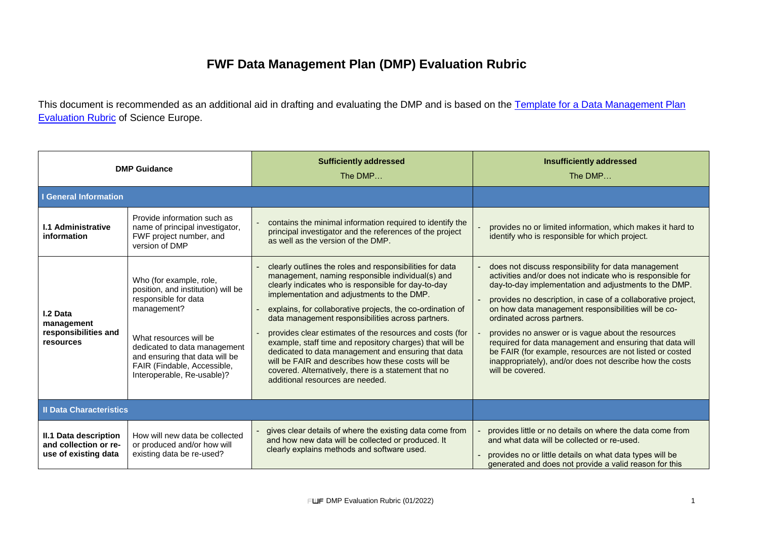## **FWF Data Management Plan (DMP) Evaluation Rubric**

This document is recommended as an additional aid in drafting and evaluating the DMP and is based on the Template for a Data Management Plan **[Evaluation Rubric](https://www.scienceeurope.org/our-priorities/research-data/research-data-management/) of Science Europe.** 

| <b>DMP Guidance</b>                                                    |                                                                                                                                                                                                                                                               | <b>Sufficiently addressed</b><br>The DMP                                                                                                                                                                                                                                                                                                                                                                                                                                                                                                                                                                                                                              | <b>Insufficiently addressed</b><br>The DMP                                                                                                                                                                                                                                                                                                                                                                                                                                                                                                                                                    |
|------------------------------------------------------------------------|---------------------------------------------------------------------------------------------------------------------------------------------------------------------------------------------------------------------------------------------------------------|-----------------------------------------------------------------------------------------------------------------------------------------------------------------------------------------------------------------------------------------------------------------------------------------------------------------------------------------------------------------------------------------------------------------------------------------------------------------------------------------------------------------------------------------------------------------------------------------------------------------------------------------------------------------------|-----------------------------------------------------------------------------------------------------------------------------------------------------------------------------------------------------------------------------------------------------------------------------------------------------------------------------------------------------------------------------------------------------------------------------------------------------------------------------------------------------------------------------------------------------------------------------------------------|
| <b>I</b> General Information                                           |                                                                                                                                                                                                                                                               |                                                                                                                                                                                                                                                                                                                                                                                                                                                                                                                                                                                                                                                                       |                                                                                                                                                                                                                                                                                                                                                                                                                                                                                                                                                                                               |
| <b>I.1 Administrative</b><br>information                               | Provide information such as<br>name of principal investigator,<br>FWF project number, and<br>version of DMP                                                                                                                                                   | contains the minimal information required to identify the<br>principal investigator and the references of the project<br>as well as the version of the DMP.                                                                                                                                                                                                                                                                                                                                                                                                                                                                                                           | provides no or limited information, which makes it hard to<br>identify who is responsible for which project.                                                                                                                                                                                                                                                                                                                                                                                                                                                                                  |
| I.2 Data<br>management<br>responsibilities and<br><b>resources</b>     | Who (for example, role,<br>position, and institution) will be<br>responsible for data<br>management?<br>What resources will be<br>dedicated to data management<br>and ensuring that data will be<br>FAIR (Findable, Accessible,<br>Interoperable, Re-usable)? | clearly outlines the roles and responsibilities for data<br>management, naming responsible individual(s) and<br>clearly indicates who is responsible for day-to-day<br>implementation and adjustments to the DMP.<br>explains, for collaborative projects, the co-ordination of<br>data management responsibilities across partners.<br>provides clear estimates of the resources and costs (for<br>example, staff time and repository charges) that will be<br>dedicated to data management and ensuring that data<br>will be FAIR and describes how these costs will be<br>covered. Alternatively, there is a statement that no<br>additional resources are needed. | does not discuss responsibility for data management<br>activities and/or does not indicate who is responsible for<br>day-to-day implementation and adjustments to the DMP.<br>provides no description, in case of a collaborative project,<br>on how data management responsibilities will be co-<br>ordinated across partners.<br>provides no answer or is vague about the resources<br>required for data management and ensuring that data will<br>be FAIR (for example, resources are not listed or costed<br>inappropriately), and/or does not describe how the costs<br>will be covered. |
| <b>Il Data Characteristics</b>                                         |                                                                                                                                                                                                                                                               |                                                                                                                                                                                                                                                                                                                                                                                                                                                                                                                                                                                                                                                                       |                                                                                                                                                                                                                                                                                                                                                                                                                                                                                                                                                                                               |
| II.1 Data description<br>and collection or re-<br>use of existing data | How will new data be collected<br>or produced and/or how will<br>existing data be re-used?                                                                                                                                                                    | gives clear details of where the existing data come from<br>and how new data will be collected or produced. It<br>clearly explains methods and software used.                                                                                                                                                                                                                                                                                                                                                                                                                                                                                                         | provides little or no details on where the data come from<br>and what data will be collected or re-used.<br>provides no or little details on what data types will be<br>generated and does not provide a valid reason for this                                                                                                                                                                                                                                                                                                                                                                |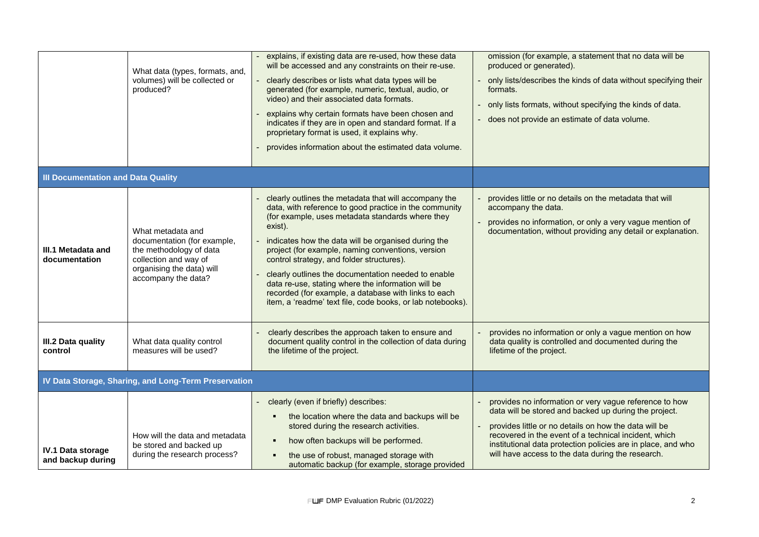|                                                      | What data (types, formats, and,<br>volumes) will be collected or<br>produced?                                                                            | explains, if existing data are re-used, how these data<br>will be accessed and any constraints on their re-use.<br>$\blacksquare$<br>clearly describes or lists what data types will be<br>generated (for example, numeric, textual, audio, or<br>video) and their associated data formats.<br>explains why certain formats have been chosen and<br>indicates if they are in open and standard format. If a<br>proprietary format is used, it explains why.<br>provides information about the estimated data volume.                                                       | omission (for example, a statement that no data will be<br>produced or generated).<br>only lists/describes the kinds of data without specifying their<br>formats.<br>only lists formats, without specifying the kinds of data.<br>does not provide an estimate of data volume.                                                                         |
|------------------------------------------------------|----------------------------------------------------------------------------------------------------------------------------------------------------------|----------------------------------------------------------------------------------------------------------------------------------------------------------------------------------------------------------------------------------------------------------------------------------------------------------------------------------------------------------------------------------------------------------------------------------------------------------------------------------------------------------------------------------------------------------------------------|--------------------------------------------------------------------------------------------------------------------------------------------------------------------------------------------------------------------------------------------------------------------------------------------------------------------------------------------------------|
| <b>III Documentation and Data Quality</b>            |                                                                                                                                                          |                                                                                                                                                                                                                                                                                                                                                                                                                                                                                                                                                                            |                                                                                                                                                                                                                                                                                                                                                        |
| III.1 Metadata and<br>documentation                  | What metadata and<br>documentation (for example,<br>the methodology of data<br>collection and way of<br>organising the data) will<br>accompany the data? | clearly outlines the metadata that will accompany the<br>data, with reference to good practice in the community<br>(for example, uses metadata standards where they<br>exist).<br>indicates how the data will be organised during the<br>project (for example, naming conventions, version<br>control strategy, and folder structures).<br>clearly outlines the documentation needed to enable<br>data re-use, stating where the information will be<br>recorded (for example, a database with links to each<br>item, a 'readme' text file, code books, or lab notebooks). | provides little or no details on the metadata that will<br>accompany the data.<br>provides no information, or only a very vague mention of<br>documentation, without providing any detail or explanation.                                                                                                                                              |
| III.2 Data quality<br>control                        | What data quality control<br>measures will be used?                                                                                                      | clearly describes the approach taken to ensure and<br>document quality control in the collection of data during<br>the lifetime of the project.                                                                                                                                                                                                                                                                                                                                                                                                                            | provides no information or only a vague mention on how<br>data quality is controlled and documented during the<br>lifetime of the project.                                                                                                                                                                                                             |
| IV Data Storage, Sharing, and Long-Term Preservation |                                                                                                                                                          |                                                                                                                                                                                                                                                                                                                                                                                                                                                                                                                                                                            |                                                                                                                                                                                                                                                                                                                                                        |
| <b>IV.1 Data storage</b><br>and backup during        | How will the data and metadata<br>be stored and backed up<br>during the research process?                                                                | clearly (even if briefly) describes:<br>the location where the data and backups will be<br>$\blacksquare$<br>stored during the research activities.<br>how often backups will be performed.<br>$\blacksquare$<br>the use of robust, managed storage with<br>٠<br>automatic backup (for example, storage provided                                                                                                                                                                                                                                                           | provides no information or very vague reference to how<br>data will be stored and backed up during the project.<br>provides little or no details on how the data will be<br>recovered in the event of a technical incident, which<br>institutional data protection policies are in place, and who<br>will have access to the data during the research. |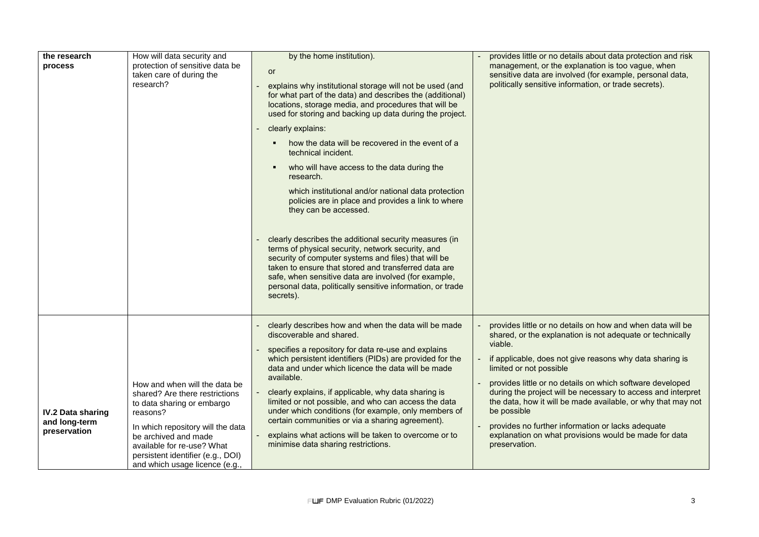| the research<br>process                                   | How will data security and<br>protection of sensitive data be<br>taken care of during the<br>research?                                                                                                                                                                      | by the home institution).<br>or<br>explains why institutional storage will not be used (and<br>for what part of the data) and describes the (additional)<br>locations, storage media, and procedures that will be<br>used for storing and backing up data during the project.<br>clearly explains:<br>how the data will be recovered in the event of a<br>technical incident.<br>who will have access to the data during the<br>research.<br>which institutional and/or national data protection<br>policies are in place and provides a link to where<br>they can be accessed.<br>clearly describes the additional security measures (in<br>terms of physical security, network security, and<br>security of computer systems and files) that will be<br>taken to ensure that stored and transferred data are<br>safe, when sensitive data are involved (for example,<br>personal data, politically sensitive information, or trade<br>secrets). | provides little or no details about data protection and risk<br>management, or the explanation is too vague, when<br>sensitive data are involved (for example, personal data,<br>politically sensitive information, or trade secrets).                                                                                                                                                                                                                                                                                                                               |
|-----------------------------------------------------------|-----------------------------------------------------------------------------------------------------------------------------------------------------------------------------------------------------------------------------------------------------------------------------|---------------------------------------------------------------------------------------------------------------------------------------------------------------------------------------------------------------------------------------------------------------------------------------------------------------------------------------------------------------------------------------------------------------------------------------------------------------------------------------------------------------------------------------------------------------------------------------------------------------------------------------------------------------------------------------------------------------------------------------------------------------------------------------------------------------------------------------------------------------------------------------------------------------------------------------------------|----------------------------------------------------------------------------------------------------------------------------------------------------------------------------------------------------------------------------------------------------------------------------------------------------------------------------------------------------------------------------------------------------------------------------------------------------------------------------------------------------------------------------------------------------------------------|
| <b>IV.2 Data sharing</b><br>and long-term<br>preservation | How and when will the data be<br>shared? Are there restrictions<br>to data sharing or embargo<br>reasons?<br>In which repository will the data<br>be archived and made<br>available for re-use? What<br>persistent identifier (e.g., DOI)<br>and which usage licence (e.g., | clearly describes how and when the data will be made<br>discoverable and shared.<br>specifies a repository for data re-use and explains<br>which persistent identifiers (PIDs) are provided for the<br>data and under which licence the data will be made<br>available.<br>clearly explains, if applicable, why data sharing is<br>limited or not possible, and who can access the data<br>under which conditions (for example, only members of<br>certain communities or via a sharing agreement).<br>explains what actions will be taken to overcome or to<br>minimise data sharing restrictions.                                                                                                                                                                                                                                                                                                                                               | provides little or no details on how and when data will be<br>shared, or the explanation is not adequate or technically<br>viable.<br>if applicable, does not give reasons why data sharing is<br>limited or not possible<br>provides little or no details on which software developed<br>during the project will be necessary to access and interpret<br>the data, how it will be made available, or why that may not<br>be possible<br>provides no further information or lacks adequate<br>explanation on what provisions would be made for data<br>preservation. |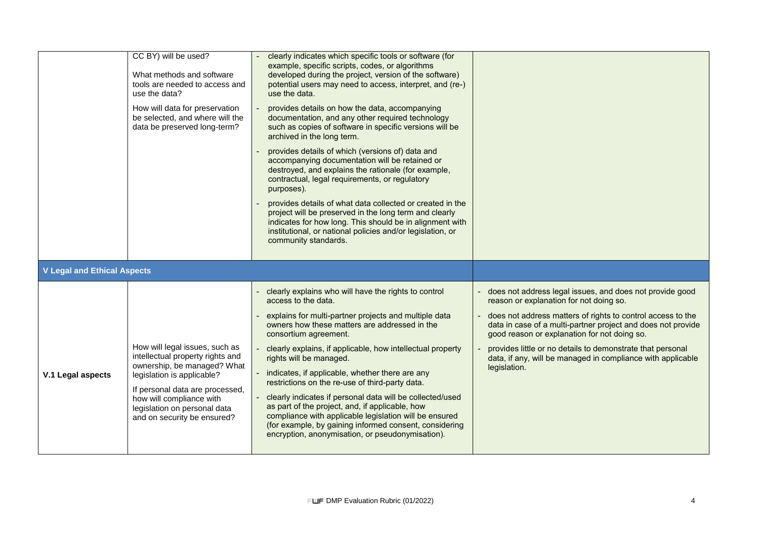|                                    | CC BY) will be used?<br>What methods and software<br>tools are needed to access and<br>use the data?<br>How will data for preservation<br>be selected, and where will the<br>data be preserved long-term?                                                     | clearly indicates which specific tools or software (for<br>example, specific scripts, codes, or algorithms<br>developed during the project, version of the software)<br>potential users may need to access, interpret, and (re-)<br>use the data.<br>provides details on how the data, accompanying<br>documentation, and any other required technology<br>such as copies of software in specific versions will be<br>archived in the long term.<br>provides details of which (versions of) data and<br>accompanying documentation will be retained or<br>destroyed, and explains the rationale (for example,<br>contractual, legal requirements, or regulatory<br>purposes).<br>provides details of what data collected or created in the<br>project will be preserved in the long term and clearly<br>indicates for how long. This should be in alignment with<br>institutional, or national policies and/or legislation, or<br>community standards. |                                                                                                                                                                                                                                                                                                                                                                                                                                 |
|------------------------------------|---------------------------------------------------------------------------------------------------------------------------------------------------------------------------------------------------------------------------------------------------------------|--------------------------------------------------------------------------------------------------------------------------------------------------------------------------------------------------------------------------------------------------------------------------------------------------------------------------------------------------------------------------------------------------------------------------------------------------------------------------------------------------------------------------------------------------------------------------------------------------------------------------------------------------------------------------------------------------------------------------------------------------------------------------------------------------------------------------------------------------------------------------------------------------------------------------------------------------------|---------------------------------------------------------------------------------------------------------------------------------------------------------------------------------------------------------------------------------------------------------------------------------------------------------------------------------------------------------------------------------------------------------------------------------|
| <b>V Legal and Ethical Aspects</b> |                                                                                                                                                                                                                                                               |                                                                                                                                                                                                                                                                                                                                                                                                                                                                                                                                                                                                                                                                                                                                                                                                                                                                                                                                                        |                                                                                                                                                                                                                                                                                                                                                                                                                                 |
| V.1 Legal aspects                  | How will legal issues, such as<br>intellectual property rights and<br>ownership, be managed? What<br>legislation is applicable?<br>If personal data are processed,<br>how will compliance with<br>legislation on personal data<br>and on security be ensured? | - clearly explains who will have the rights to control<br>access to the data.<br>explains for multi-partner projects and multiple data<br>owners how these matters are addressed in the<br>consortium agreement.<br>clearly explains, if applicable, how intellectual property<br>rights will be managed.<br>indicates, if applicable, whether there are any<br>restrictions on the re-use of third-party data.<br>clearly indicates if personal data will be collected/used<br>as part of the project, and, if applicable, how<br>compliance with applicable legislation will be ensured<br>(for example, by gaining informed consent, considering<br>encryption, anonymisation, or pseudonymisation).                                                                                                                                                                                                                                                | does not address legal issues, and does not provide good<br>reason or explanation for not doing so.<br>does not address matters of rights to control access to the<br>data in case of a multi-partner project and does not provide<br>good reason or explanation for not doing so.<br>provides little or no details to demonstrate that personal<br>data, if any, will be managed in compliance with applicable<br>legislation. |